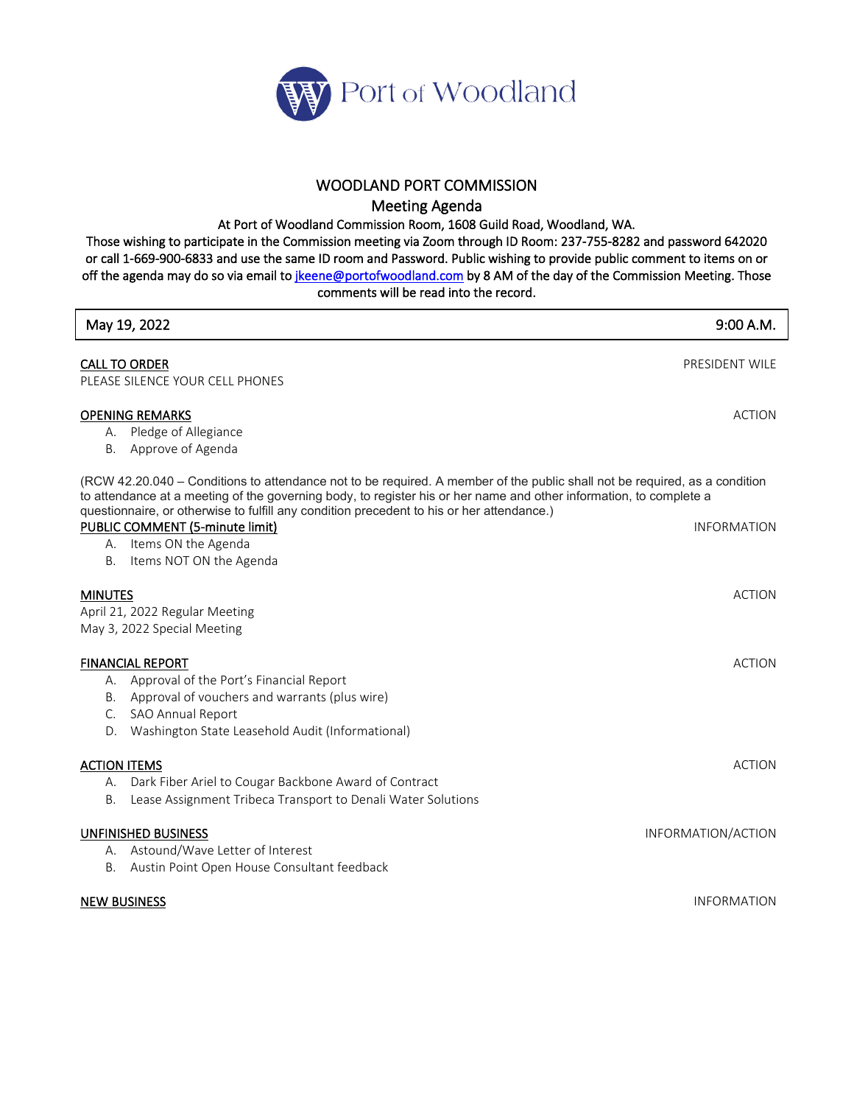

## WOODLAND PORT COMMISSION

Meeting Agenda

At Port of Woodland Commission Room, 1608 Guild Road, Woodland, WA.

Those wishing to participate in the Commission meeting via Zoom through ID Room: 237-755-8282 and password 642020 or call 1-669-900-6833 and use the same ID room and Password. Public wishing to provide public comment to items on or off the agenda may do so via email to *jkeene@portofwoodland.com* by 8 AM of the day of the Commission Meeting. Those comments will be read into the record.

| May 19, 2022                                                                                                                                                                                                                                                                                                                                  | 9:00 A.M.          |
|-----------------------------------------------------------------------------------------------------------------------------------------------------------------------------------------------------------------------------------------------------------------------------------------------------------------------------------------------|--------------------|
| <b>CALL TO ORDER</b>                                                                                                                                                                                                                                                                                                                          | PRESIDENT WILE     |
| PLEASE SILENCE YOUR CELL PHONES                                                                                                                                                                                                                                                                                                               |                    |
| <b>OPENING REMARKS</b><br>A. Pledge of Allegiance                                                                                                                                                                                                                                                                                             | <b>ACTION</b>      |
| Approve of Agenda<br>В.                                                                                                                                                                                                                                                                                                                       |                    |
| (RCW 42.20.040 – Conditions to attendance not to be required. A member of the public shall not be required, as a condition<br>to attendance at a meeting of the governing body, to register his or her name and other information, to complete a<br>questionnaire, or otherwise to fulfill any condition precedent to his or her attendance.) |                    |
| PUBLIC COMMENT (5-minute limit)                                                                                                                                                                                                                                                                                                               | <b>INFORMATION</b> |
| A. Items ON the Agenda                                                                                                                                                                                                                                                                                                                        |                    |
| Items NOT ON the Agenda<br>В.                                                                                                                                                                                                                                                                                                                 |                    |
| <b>MINUTES</b>                                                                                                                                                                                                                                                                                                                                | <b>ACTION</b>      |
| April 21, 2022 Regular Meeting                                                                                                                                                                                                                                                                                                                |                    |
| May 3, 2022 Special Meeting                                                                                                                                                                                                                                                                                                                   |                    |
|                                                                                                                                                                                                                                                                                                                                               |                    |
| <b>FINANCIAL REPORT</b>                                                                                                                                                                                                                                                                                                                       | <b>ACTION</b>      |
| A. Approval of the Port's Financial Report                                                                                                                                                                                                                                                                                                    |                    |
| B. Approval of vouchers and warrants (plus wire)                                                                                                                                                                                                                                                                                              |                    |
| C. SAO Annual Report                                                                                                                                                                                                                                                                                                                          |                    |
| Washington State Leasehold Audit (Informational)<br>D.                                                                                                                                                                                                                                                                                        |                    |
| <b>ACTION ITEMS</b>                                                                                                                                                                                                                                                                                                                           | <b>ACTION</b>      |
| Dark Fiber Ariel to Cougar Backbone Award of Contract<br>А.                                                                                                                                                                                                                                                                                   |                    |
| Lease Assignment Tribeca Transport to Denali Water Solutions<br>В.                                                                                                                                                                                                                                                                            |                    |
|                                                                                                                                                                                                                                                                                                                                               |                    |
| UNFINISHED BUSINESS                                                                                                                                                                                                                                                                                                                           | INFORMATION/ACTION |
| A. Astound/Wave Letter of Interest                                                                                                                                                                                                                                                                                                            |                    |
| Austin Point Open House Consultant feedback<br>В.                                                                                                                                                                                                                                                                                             |                    |
| <b>NEW BUSINESS</b>                                                                                                                                                                                                                                                                                                                           | <b>INFORMATION</b> |
|                                                                                                                                                                                                                                                                                                                                               |                    |